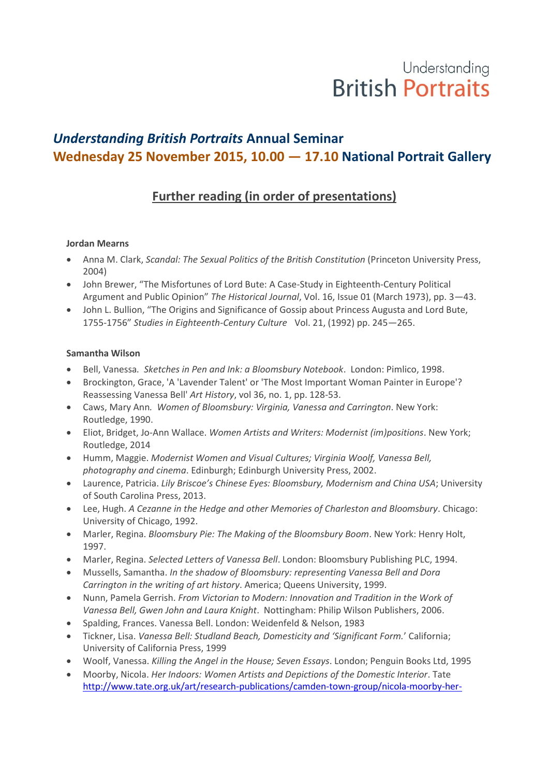

# *Understanding British Portraits* **Annual Seminar Wednesday 25 November 2015, 10.00 — 17.10 National Portrait Gallery**

# **Further reading (in order of presentations)**

## **Jordan Mearns**

- Anna M. Clark, *Scandal: The Sexual Politics of the British Constitution* (Princeton University Press, 2004)
- John Brewer, "The Misfortunes of Lord Bute: A Case-Study in Eighteenth-Century Political Argument and Public Opinion" *The Historical Journal*, Vol. 16, Issue 01 (March 1973), pp. 3—43.
- John L. Bullion, "The Origins and Significance of Gossip about Princess Augusta and Lord Bute, 1755-1756" *Studies in Eighteenth-Century Culture* Vol. 21, (1992) pp. 245—265.

## **Samantha Wilson**

- Bell, Vanessa*. Sketches in Pen and Ink: a Bloomsbury Notebook*. London: Pimlico, 1998.
- Brockington, Grace, 'A 'Lavender Talent' or 'The Most Important Woman Painter in Europe'? Reassessing Vanessa Bell' *Art History*, vol 36, no. 1, pp. 128-53.
- Caws, Mary Ann*. Women of Bloomsbury: Virginia, Vanessa and Carrington*. New York: Routledge, 1990.
- Eliot, Bridget, Jo-Ann Wallace. *Women Artists and Writers: Modernist (im)positions*. New York; Routledge, 2014
- Humm, Maggie. *Modernist Women and Visual Cultures; Virginia Woolf, Vanessa Bell, photography and cinema*. Edinburgh; Edinburgh University Press, 2002.
- Laurence, Patricia. *Lily Briscoe's Chinese Eyes: Bloomsbury, Modernism and China USA*; University of South Carolina Press, 2013.
- Lee, Hugh. *A Cezanne in the Hedge and other Memories of Charleston and Bloomsbury*. Chicago: University of Chicago, 1992.
- Marler, Regina. *Bloomsbury Pie: The Making of the Bloomsbury Boom*. New York: Henry Holt, 1997.
- Marler, Regina. *Selected Letters of Vanessa Bell*. London: Bloomsbury Publishing PLC, 1994.
- Mussells, Samantha. *In the shadow of Bloomsbury: representing Vanessa Bell and Dora Carrington in the writing of art history*. America; Queens University, 1999.
- Nunn, Pamela Gerrish. *From Victorian to Modern: Innovation and Tradition in the Work of Vanessa Bell, Gwen John and Laura Knight*. Nottingham: Philip Wilson Publishers, 2006.
- Spalding, Frances. Vanessa Bell. London: Weidenfeld & Nelson, 1983
- Tickner, Lisa. *Vanessa Bell: Studland Beach, Domesticity and 'Significant Form.*' California; University of California Press, 1999
- Woolf, Vanessa. *Killing the Angel in the House; Seven Essays*. London; Penguin Books Ltd, 1995
- Moorby, Nicola. *Her Indoors: Women Artists and Depictions of the Domestic Interior*. Tate [http://www.tate.org.uk/art/research-publications/camden-town-group/nicola-moorby-her-](http://www.tate.org.uk/art/research-publications/camden-town-group/nicola-moorby-her-indoors-women-artists-and-depictions-of-the-domestic-interior-r1104359)